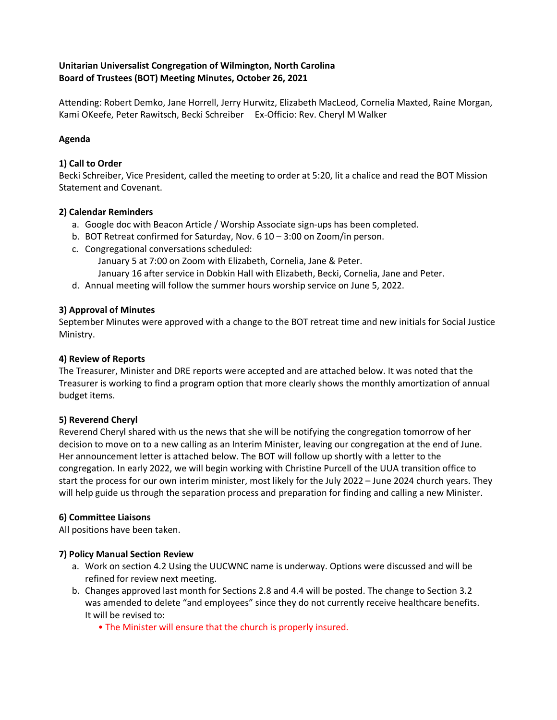### **Unitarian Universalist Congregation of Wilmington, North Carolina Board of Trustees (BOT) Meeting Minutes, October 26, 2021**

Attending: Robert Demko, Jane Horrell, Jerry Hurwitz, Elizabeth MacLeod, Cornelia Maxted, Raine Morgan, Kami OKeefe, Peter Rawitsch, Becki Schreiber Ex-Officio: Rev. Cheryl M Walker

### **Agenda**

### **1) Call to Order**

Becki Schreiber, Vice President, called the meeting to order at 5:20, lit a chalice and read the BOT Mission Statement and Covenant.

# **2) Calendar Reminders**

- a. Google doc with Beacon Article / Worship Associate sign-ups has been completed.
- b. BOT Retreat confirmed for Saturday, Nov. 6 10 3:00 on Zoom/in person.
- c. Congregational conversations scheduled: January 5 at 7:00 on Zoom with Elizabeth, Cornelia, Jane & Peter. January 16 after service in Dobkin Hall with Elizabeth, Becki, Cornelia, Jane and Peter.
- d. Annual meeting will follow the summer hours worship service on June 5, 2022.

# **3) Approval of Minutes**

September Minutes were approved with a change to the BOT retreat time and new initials for Social Justice Ministry.

### **4) Review of Reports**

The Treasurer, Minister and DRE reports were accepted and are attached below. It was noted that the Treasurer is working to find a program option that more clearly shows the monthly amortization of annual budget items.

### **5) Reverend Cheryl**

Reverend Cheryl shared with us the news that she will be notifying the congregation tomorrow of her decision to move on to a new calling as an Interim Minister, leaving our congregation at the end of June. Her announcement letter is attached below. The BOT will follow up shortly with a letter to the congregation. In early 2022, we will begin working with Christine Purcell of the UUA transition office to start the process for our own interim minister, most likely for the July 2022 – June 2024 church years. They will help guide us through the separation process and preparation for finding and calling a new Minister.

### **6) Committee Liaisons**

All positions have been taken.

### **7) Policy Manual Section Review**

- a. Work on section 4.2 Using the UUCWNC name is underway. Options were discussed and will be refined for review next meeting.
- b. Changes approved last month for Sections 2.8 and 4.4 will be posted. The change to Section 3.2 was amended to delete "and employees" since they do not currently receive healthcare benefits. It will be revised to:
	- The Minister will ensure that the church is properly insured.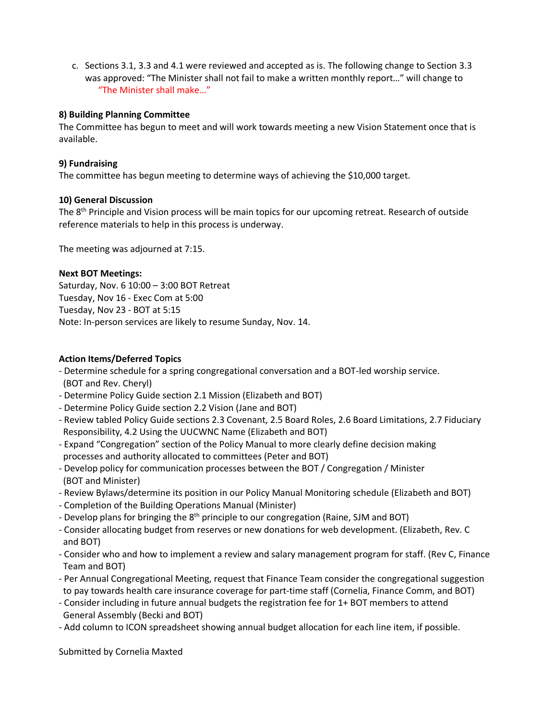c. Sections 3.1, 3.3 and 4.1 were reviewed and accepted as is. The following change to Section 3.3 was approved: "The Minister shall not fail to make a written monthly report…" will change to "The Minister shall make…"

#### **8) Building Planning Committee**

The Committee has begun to meet and will work towards meeting a new Vision Statement once that is available.

#### **9) Fundraising**

The committee has begun meeting to determine ways of achieving the \$10,000 target.

#### **10) General Discussion**

The 8<sup>th</sup> Principle and Vision process will be main topics for our upcoming retreat. Research of outside reference materials to help in this process is underway.

The meeting was adjourned at 7:15.

#### **Next BOT Meetings:**

Saturday, Nov. 6 10:00 – 3:00 BOT Retreat Tuesday, Nov 16 - Exec Com at 5:00 Tuesday, Nov 23 - BOT at 5:15 Note: In-person services are likely to resume Sunday, Nov. 14.

#### **Action Items/Deferred Topics**

- Determine schedule for a spring congregational conversation and a BOT-led worship service. (BOT and Rev. Cheryl)
- Determine Policy Guide section 2.1 Mission (Elizabeth and BOT)
- Determine Policy Guide section 2.2 Vision (Jane and BOT)
- Review tabled Policy Guide sections 2.3 Covenant, 2.5 Board Roles, 2.6 Board Limitations, 2.7 Fiduciary Responsibility, 4.2 Using the UUCWNC Name (Elizabeth and BOT)
- Expand "Congregation" section of the Policy Manual to more clearly define decision making processes and authority allocated to committees (Peter and BOT)
- Develop policy for communication processes between the BOT / Congregation / Minister (BOT and Minister)
- Review Bylaws/determine its position in our Policy Manual Monitoring schedule (Elizabeth and BOT)
- Completion of the Building Operations Manual (Minister)
- Develop plans for bringing the 8<sup>th</sup> principle to our congregation (Raine, SJM and BOT)
- Consider allocating budget from reserves or new donations for web development. (Elizabeth, Rev. C and BOT)
- Consider who and how to implement a review and salary management program for staff. (Rev C, Finance Team and BOT)
- Per Annual Congregational Meeting, request that Finance Team consider the congregational suggestion to pay towards health care insurance coverage for part-time staff (Cornelia, Finance Comm, and BOT)
- Consider including in future annual budgets the registration fee for 1+ BOT members to attend General Assembly (Becki and BOT)
- Add column to ICON spreadsheet showing annual budget allocation for each line item, if possible.

Submitted by Cornelia Maxted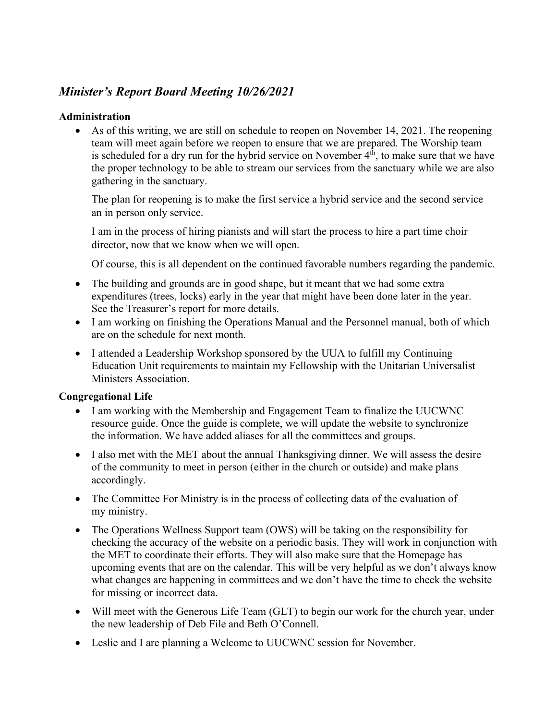# *Minister's Report Board Meeting 10/26/2021*

# **Administration**

• As of this writing, we are still on schedule to reopen on November 14, 2021. The reopening team will meet again before we reopen to ensure that we are prepared. The Worship team is scheduled for a dry run for the hybrid service on November  $4<sup>th</sup>$ , to make sure that we have the proper technology to be able to stream our services from the sanctuary while we are also gathering in the sanctuary.

The plan for reopening is to make the first service a hybrid service and the second service an in person only service.

I am in the process of hiring pianists and will start the process to hire a part time choir director, now that we know when we will open.

Of course, this is all dependent on the continued favorable numbers regarding the pandemic.

- The building and grounds are in good shape, but it meant that we had some extra expenditures (trees, locks) early in the year that might have been done later in the year. See the Treasurer's report for more details.
- I am working on finishing the Operations Manual and the Personnel manual, both of which are on the schedule for next month.
- I attended a Leadership Workshop sponsored by the UUA to fulfill my Continuing Education Unit requirements to maintain my Fellowship with the Unitarian Universalist Ministers Association.

# **Congregational Life**

- I am working with the Membership and Engagement Team to finalize the UUCWNC resource guide. Once the guide is complete, we will update the website to synchronize the information. We have added aliases for all the committees and groups.
- I also met with the MET about the annual Thanksgiving dinner. We will assess the desire of the community to meet in person (either in the church or outside) and make plans accordingly.
- The Committee For Ministry is in the process of collecting data of the evaluation of my ministry.
- The Operations Wellness Support team (OWS) will be taking on the responsibility for checking the accuracy of the website on a periodic basis. They will work in conjunction with the MET to coordinate their efforts. They will also make sure that the Homepage has upcoming events that are on the calendar. This will be very helpful as we don't always know what changes are happening in committees and we don't have the time to check the website for missing or incorrect data.
- Will meet with the Generous Life Team (GLT) to begin our work for the church year, under the new leadership of Deb File and Beth O'Connell.
- Leslie and I are planning a Welcome to UUCWNC session for November.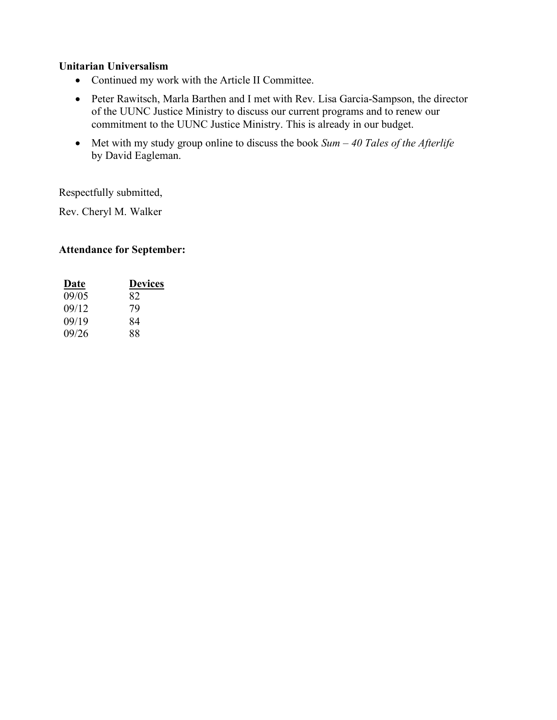# **Unitarian Universalism**

- Continued my work with the Article II Committee.
- Peter Rawitsch, Marla Barthen and I met with Rev. Lisa Garcia-Sampson, the director of the UUNC Justice Ministry to discuss our current programs and to renew our commitment to the UUNC Justice Ministry. This is already in our budget.
- Met with my study group online to discuss the book *Sum – 40 Tales of the Afterlife* by David Eagleman.

Respectfully submitted,

Rev. Cheryl M. Walker

# **Attendance for September:**

| <u>Date</u> | <b>Devices</b> |  |  |  |
|-------------|----------------|--|--|--|
| 09/05       | 82             |  |  |  |
| 09/12       | 79             |  |  |  |
| 09/19       | 84             |  |  |  |
| 09/26       | 88             |  |  |  |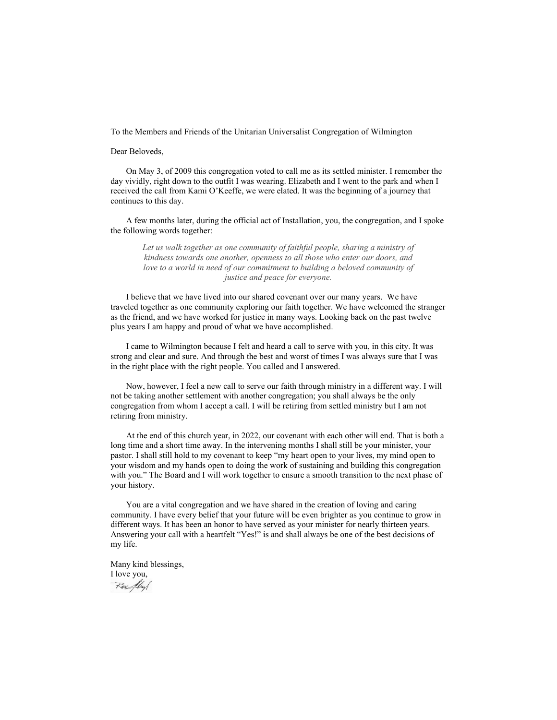To the Members and Friends of the Unitarian Universalist Congregation of Wilmington

Dear Beloveds,

On May 3, of 2009 this congregation voted to call me as its settled minister. I remember the day vividly, right down to the outfit I was wearing. Elizabeth and I went to the park and when I received the call from Kami O'Keeffe, we were elated. It was the beginning of a journey that continues to this day.

A few months later, during the official act of Installation, you, the congregation, and I spoke the following words together:

Let us walk together as one community of faithful people, sharing a ministry of *kindness towards one another, openness to all those who enter our doors, and love to a world in need of our commitment to building a beloved community of justice and peace for everyone.* 

I believe that we have lived into our shared covenant over our many years. We have traveled together as one community exploring our faith together. We have welcomed the stranger as the friend, and we have worked for justice in many ways. Looking back on the past twelve plus years I am happy and proud of what we have accomplished.

I came to Wilmington because I felt and heard a call to serve with you, in this city. It was strong and clear and sure. And through the best and worst of times I was always sure that I was in the right place with the right people. You called and I answered.

Now, however, I feel a new call to serve our faith through ministry in a different way. I will not be taking another settlement with another congregation; you shall always be the only congregation from whom I accept a call. I will be retiring from settled ministry but I am not retiring from ministry.

At the end of this church year, in 2022, our covenant with each other will end. That is both a long time and a short time away. In the intervening months I shall still be your minister, your pastor. I shall still hold to my covenant to keep "my heart open to your lives, my mind open to your wisdom and my hands open to doing the work of sustaining and building this congregation with you." The Board and I will work together to ensure a smooth transition to the next phase of your history.

You are a vital congregation and we have shared in the creation of loving and caring community. I have every belief that your future will be even brighter as you continue to grow in different ways. It has been an honor to have served as your minister for nearly thirteen years. Answering your call with a heartfelt "Yes!" is and shall always be one of the best decisions of my life.

Many kind blessings, I love you,

Rev /hyl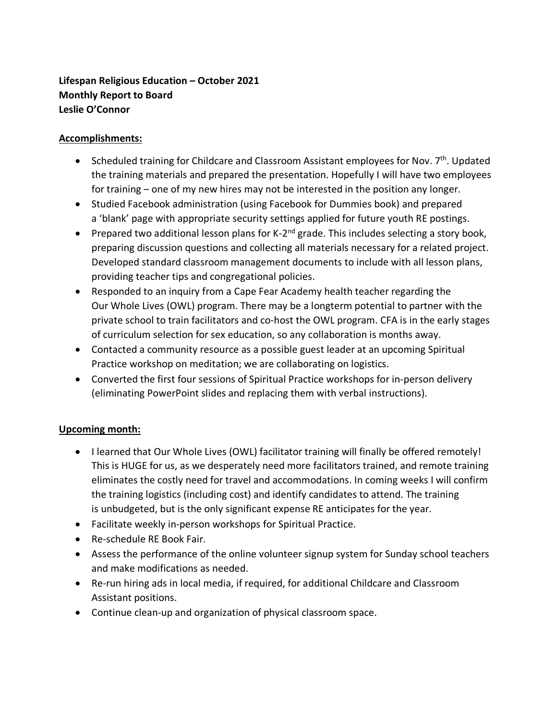# **Lifespan Religious Education – October 2021 Monthly Report to Board Leslie O'Connor**

# **Accomplishments:**

- Scheduled training for Childcare and Classroom Assistant employees for Nov. 7<sup>th</sup>. Updated the training materials and prepared the presentation. Hopefully I will have two employees for training – one of my new hires may not be interested in the position any longer.
- Studied Facebook administration (using Facebook for Dummies book) and prepared a 'blank' page with appropriate security settings applied for future youth RE postings.
- Prepared two additional lesson plans for K-2<sup>nd</sup> grade. This includes selecting a story book, preparing discussion questions and collecting all materials necessary for a related project. Developed standard classroom management documents to include with all lesson plans, providing teacher tips and congregational policies.
- Responded to an inquiry from a Cape Fear Academy health teacher regarding the Our Whole Lives (OWL) program. There may be a longterm potential to partner with the private school to train facilitators and co-host the OWL program. CFA is in the early stages of curriculum selection for sex education, so any collaboration is months away.
- Contacted a community resource as a possible guest leader at an upcoming Spiritual Practice workshop on meditation; we are collaborating on logistics.
- Converted the first four sessions of Spiritual Practice workshops for in-person delivery (eliminating PowerPoint slides and replacing them with verbal instructions).

# **Upcoming month:**

- I learned that Our Whole Lives (OWL) facilitator training will finally be offered remotely! This is HUGE for us, as we desperately need more facilitators trained, and remote training eliminates the costly need for travel and accommodations. In coming weeks I will confirm the training logistics (including cost) and identify candidates to attend. The training is unbudgeted, but is the only significant expense RE anticipates for the year.
- Facilitate weekly in-person workshops for Spiritual Practice.
- Re-schedule RE Book Fair.
- Assess the performance of the online volunteer signup system for Sunday school teachers and make modifications as needed.
- Re-run hiring ads in local media, if required, for additional Childcare and Classroom Assistant positions.
- Continue clean-up and organization of physical classroom space.